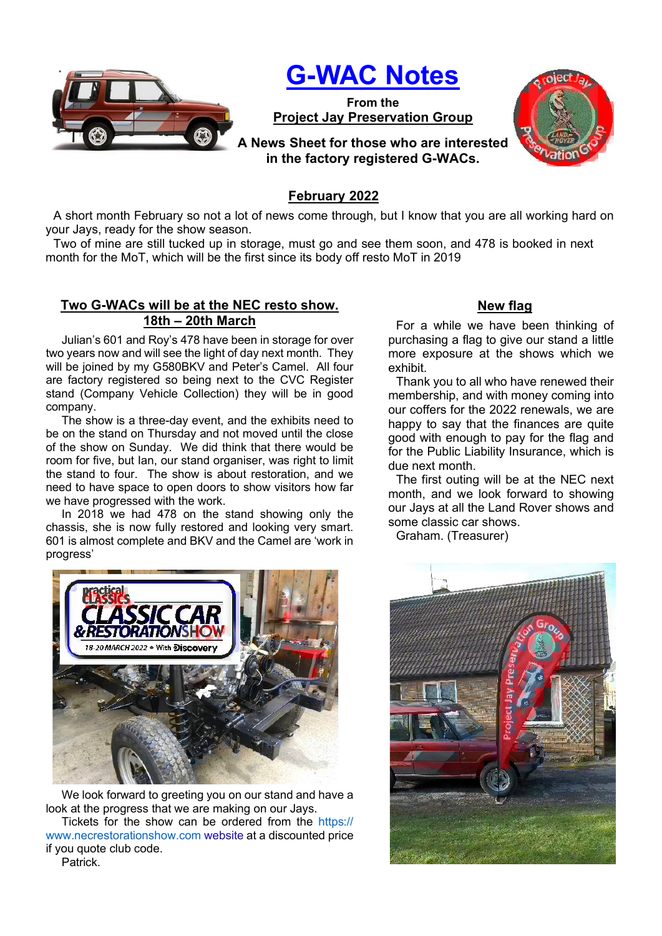

## G-WAC Notes

From the Project Jay Preservation Group



A News Sheet for those who are interested in the factory registered G-WACs.

## February 2022

A short month February so not a lot of news come through, but I know that you are all working hard on your Jays, ready for the show season.

Two of mine are still tucked up in storage, must go and see them soon, and 478 is booked in next month for the MoT, which will be the first since its body off resto MoT in 2019

## Two G-WACs will be at the NEC resto show. 18th – 20th March

Julian's 601 and Roy's 478 have been in storage for over two years now and will see the light of day next month. They will be joined by my G580BKV and Peter's Camel. All four are factory registered so being next to the CVC Register stand (Company Vehicle Collection) they will be in good company.

The show is a three-day event, and the exhibits need to be on the stand on Thursday and not moved until the close of the show on Sunday. We did think that there would be room for five, but Ian, our stand organiser, was right to limit the stand to four. The show is about restoration, and we need to have space to open doors to show visitors how far we have progressed with the work.

In 2018 we had 478 on the stand showing only the chassis, she is now fully restored and looking very smart. 601 is almost complete and BKV and the Camel are 'work in progress'



We look forward to greeting you on our stand and have a look at the progress that we are making on our Jays.

Tickets for the show can be ordered from the https:// www.necrestorationshow.com website at a discounted price if you quote club code.

New flag

For a while we have been thinking of purchasing a flag to give our stand a little more exposure at the shows which we exhibit.

Thank you to all who have renewed their membership, and with money coming into our coffers for the 2022 renewals, we are happy to say that the finances are quite good with enough to pay for the flag and for the Public Liability Insurance, which is due next month.

The first outing will be at the NEC next month, and we look forward to showing our Jays at all the Land Rover shows and some classic car shows.

Graham. (Treasurer)



Patrick.